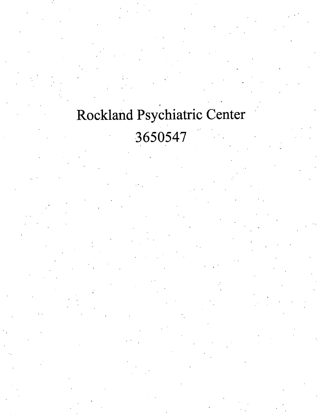# Rockland Psychiatric Center 3650547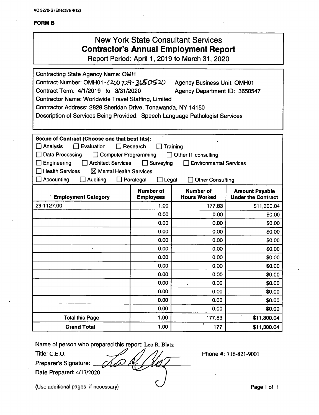AC 3272-S (Effective 4/12)

#### FORM B

## New York State Consultant Services **Contractor's Annual Employment Report**

Report Period: April 1,2019 to March 31,2020

Contracting State Agency Name: OMH Contract-Number: OMH01- $\angle$ 200 729-3650510 Agency Business Unit: OMH01 Contract Term: 4/1/2019 to 3/31/2020 Agency Department ID: 3650547 Contractor Name: Worldwide Travel Staffing, Limited Contractor Address: 2829 Sheridan Drive, Tonawanda, NY 14150 Description of Services Being Provided: Speech Language Pathologist Services Scope of Contract (Choose one that best fits): Analysis Evaluation Research Training □ Data Processing □ Computer Programming □ Other IT consulting Engineering Architect Services Surveying Environmental Services  $\Box$  Health Services  $\boxtimes$  Mental Health Services □ Accounting □ Auditing □ Paralegal □ Legal □ Other Consulting Number of Employees Number of Hours Worked **Amount Payable<br>Under the Contract Employment Category** 29-1127.00 1.00 | 177.83 | \$11,300.04 0.00 **\$0.00 \$0.00** 0.00 **\$**0.00 **\$0.00** 0.00 **\$0.00** \$0.00 0.00 **0.00** \$0.00 0.00 **\$0.00 \$0.00** 0.00 **\$**0.00 **\$0.00** 0.00 **0.00** \$0.00 0.00 **0.00** \$0.00 0.00 **\$0.00** \$0.00 0.00 **0.00** 50.00 0.00 **0.00** \$0.00 0.00 **0.00** \$0.00 Total this Page 1.00 | 1.00 | 177.83 | \$11,300.04 Grand Total 1.00 1.00 1.00 1.07 177 \$11,300.04

Name of person who prepared this report: Leo R. Blatz

Title: C.E.O.

Preparer's Signature: Date Prepared: 4/17/2020 Phone #: 716-821-9001

(Use additional pages, if necessary) **Page 1** of 1